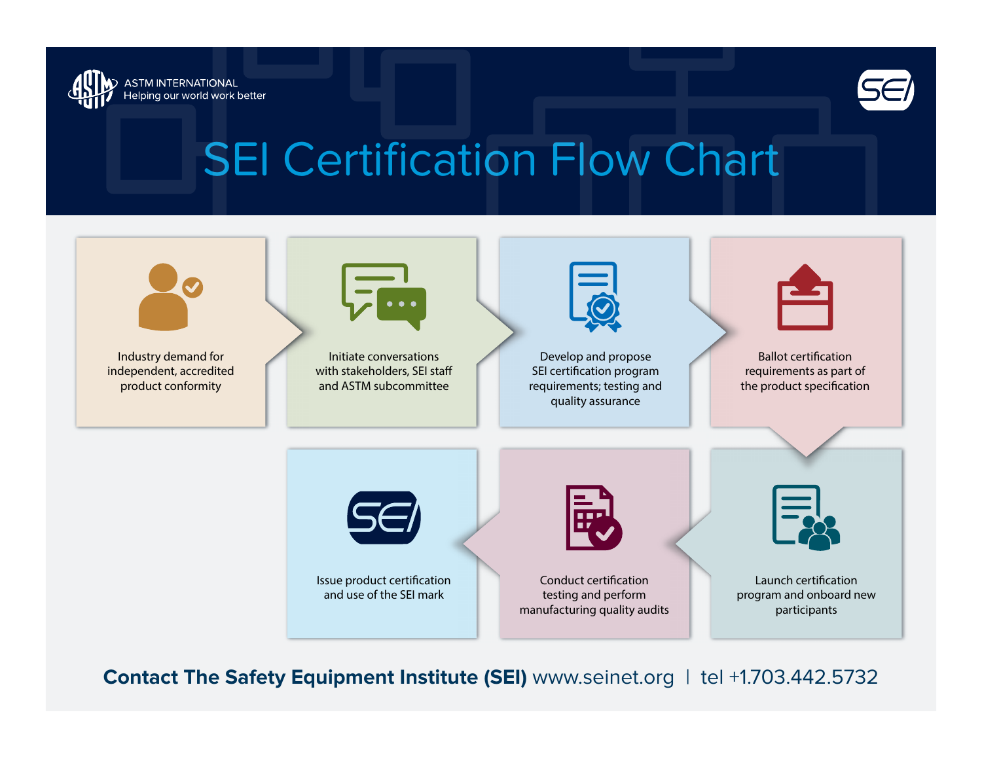



# SEI Certification Flow Chart



**Contact The Safety Equipment Institute (SEI)** www.seinet.org | tel +1.703.442.5732